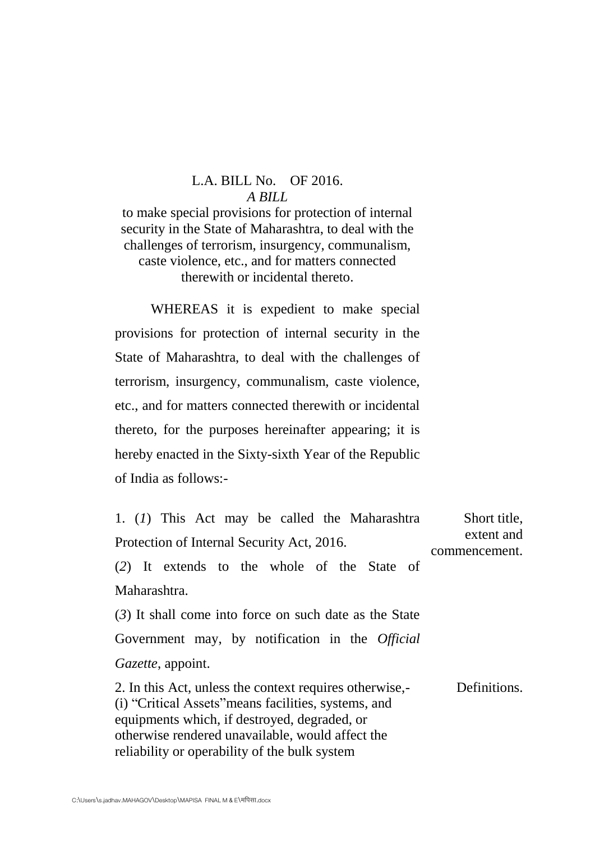## L.A. BILL No. OF 2016. *A BILL*

to make special provisions for protection of internal security in the State of Maharashtra, to deal with the challenges of terrorism, insurgency, communalism, caste violence, etc., and for matters connected therewith or incidental thereto.

WHEREAS it is expedient to make special provisions for protection of internal security in the State of Maharashtra, to deal with the challenges of terrorism, insurgency, communalism, caste violence, etc., and for matters connected therewith or incidental thereto, for the purposes hereinafter appearing; it is hereby enacted in the Sixty-sixth Year of the Republic of India as follows:-

| 1. (1) This Act may be called the Maharashtra<br>Protection of Internal Security Act, 2016.                                                                                                                                                                          | Short title,<br>extent and<br>commencement. |
|----------------------------------------------------------------------------------------------------------------------------------------------------------------------------------------------------------------------------------------------------------------------|---------------------------------------------|
| (2) It extends to the whole of the State of                                                                                                                                                                                                                          |                                             |
| Maharashtra.                                                                                                                                                                                                                                                         |                                             |
| $(3)$ It shall come into force on such date as the State                                                                                                                                                                                                             |                                             |
| Government may, by notification in the <i>Official</i>                                                                                                                                                                                                               |                                             |
| <i>Gazette</i> , appoint.                                                                                                                                                                                                                                            |                                             |
| 2. In this Act, unless the context requires otherwise,-<br>(i) "Critical Assets" means facilities, systems, and<br>equipments which, if destroyed, degraded, or<br>otherwise rendered unavailable, would affect the<br>reliability or operability of the bulk system | Definitions.                                |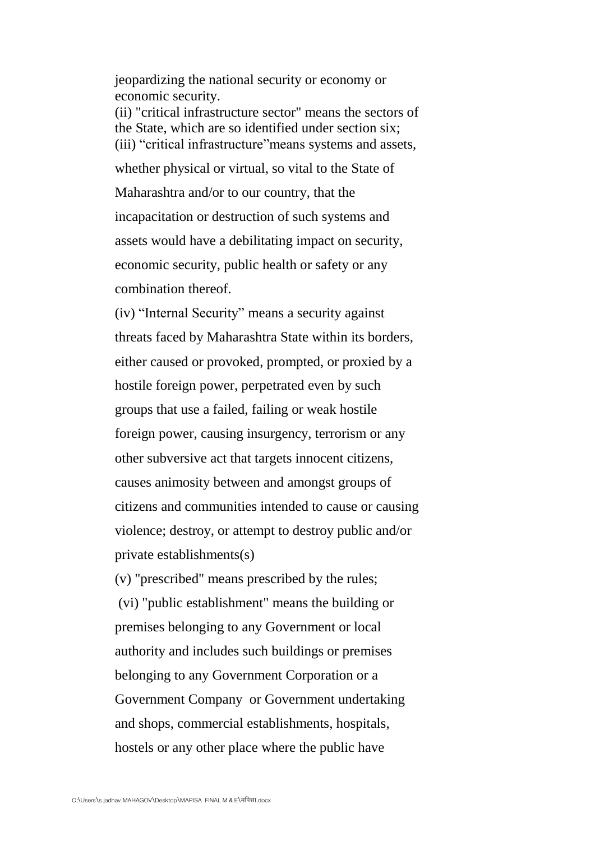jeopardizing the national security or economy or economic security.

(ii) "critical infrastructure sector" means the sectors of the State, which are so identified under section six; (iii) "critical infrastructure" means systems and assets,

whether physical or virtual, so vital to the State of Maharashtra and/or to our country, that the incapacitation or destruction of such systems and assets would have a debilitating impact on security, economic security, public health or safety or any combination thereof.

(iv) "Internal Security" means a security against threats faced by Maharashtra State within its borders, either caused or provoked, prompted, or proxied by a hostile foreign power, perpetrated even by such groups that use a failed, failing or weak hostile foreign power, causing insurgency, terrorism or any other subversive act that targets innocent citizens, causes animosity between and amongst groups of citizens and communities intended to cause or causing violence; destroy, or attempt to destroy public and/or private establishments(s)

(v) "prescribed" means prescribed by the rules; (vi) "public establishment" means the building or premises belonging to any Government or local authority and includes such buildings or premises belonging to any Government Corporation or a Government Company or Government undertaking and shops, commercial establishments, hospitals, hostels or any other place where the public have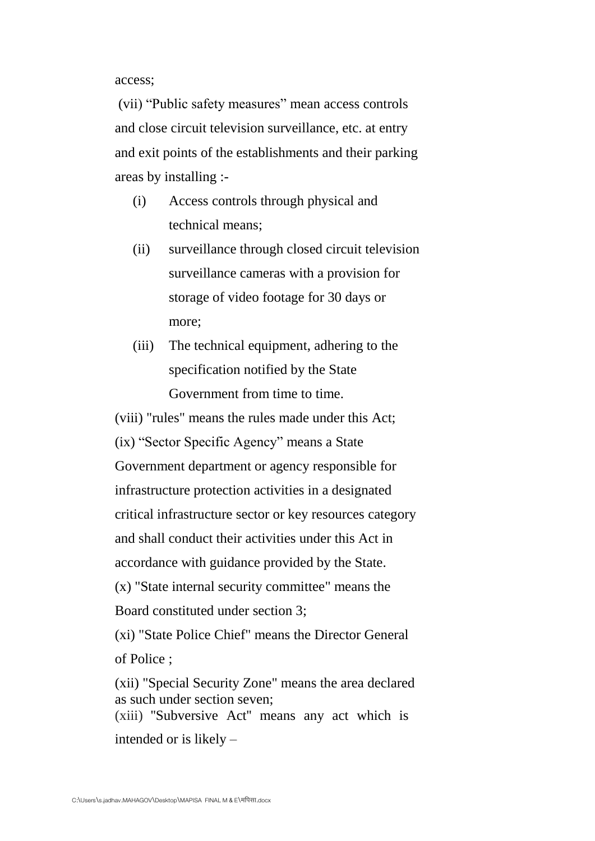access;

(vii) "Public safety measures" mean access controls and close circuit television surveillance, etc. at entry and exit points of the establishments and their parking areas by installing :-

- (i) Access controls through physical and technical means;
- (ii) surveillance through closed circuit television surveillance cameras with a provision for storage of video footage for 30 days or more;
- (iii) The technical equipment, adhering to the specification notified by the State Government from time to time.

(viii) "rules" means the rules made under this Act; (ix) "Sector Specific Agency" means a State Government department or agency responsible for infrastructure protection activities in a designated critical infrastructure sector or key resources category and shall conduct their activities under this Act in accordance with guidance provided by the State. (x) "State internal security committee" means the

Board constituted under section 3;

(xi) "State Police Chief" means the Director General of Police ;

(xii) "Special Security Zone" means the area declared as such under section seven; (xiii) ''Subversive Act'' means any act which is intended or is likely –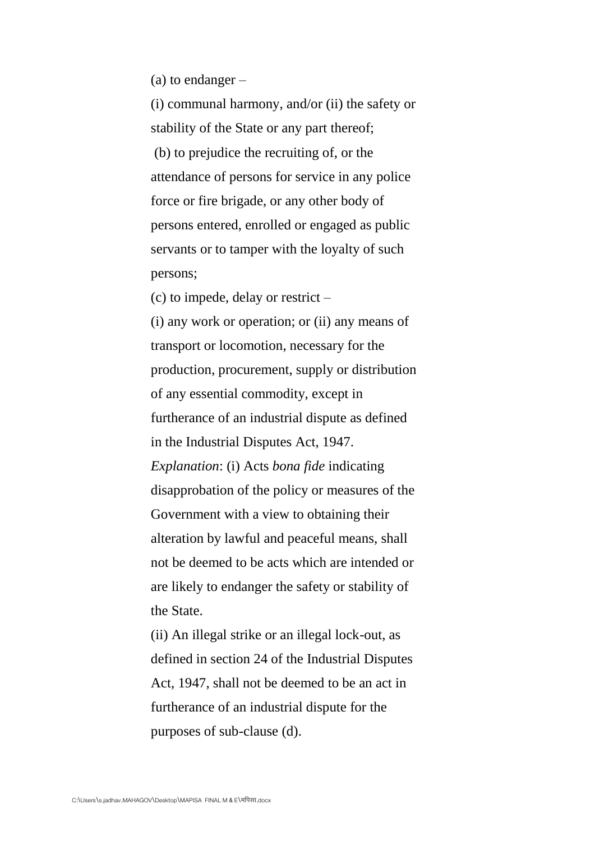(a) to endanger –

(i) communal harmony, and/or (ii) the safety or stability of the State or any part thereof; (b) to prejudice the recruiting of, or the attendance of persons for service in any police force or fire brigade, or any other body of persons entered, enrolled or engaged as public servants or to tamper with the loyalty of such persons;

(c) to impede, delay or restrict –

(i) any work or operation; or (ii) any means of transport or locomotion, necessary for the production, procurement, supply or distribution of any essential commodity, except in furtherance of an industrial dispute as defined in the Industrial Disputes Act, 1947. *Explanation*: (i) Acts *bona fide* indicating disapprobation of the policy or measures of the Government with a view to obtaining their alteration by lawful and peaceful means, shall not be deemed to be acts which are intended or are likely to endanger the safety or stability of the State.

(ii) An illegal strike or an illegal lock-out, as defined in section 24 of the Industrial Disputes Act, 1947, shall not be deemed to be an act in furtherance of an industrial dispute for the purposes of sub-clause (d).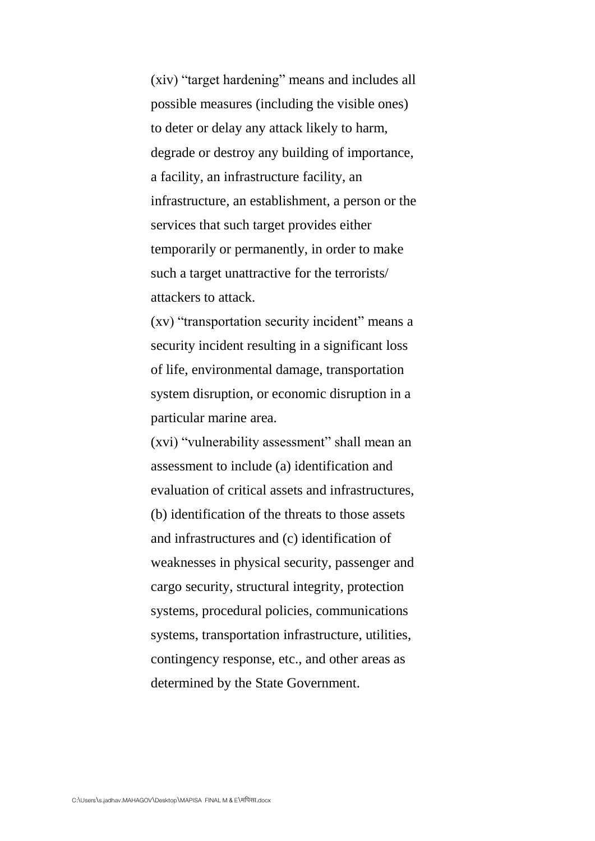(xiv) "target hardening" means and includes all possible measures (including the visible ones) to deter or delay any attack likely to harm, degrade or destroy any building of importance, a facility, an infrastructure facility, an infrastructure, an establishment, a person or the services that such target provides either temporarily or permanently, in order to make such a target unattractive for the terrorists/ attackers to attack.

 $(xv)$  "transportation security incident" means a security incident resulting in a significant loss of life, environmental damage, transportation system disruption, or economic disruption in a particular marine area.

(xvi) "vulnerability assessment" shall mean an assessment to include (a) identification and evaluation of critical assets and infrastructures, (b) identification of the threats to those assets and infrastructures and (c) identification of weaknesses in physical security, passenger and cargo security, structural integrity, protection systems, procedural policies, communications systems, transportation infrastructure, utilities, contingency response, etc., and other areas as determined by the State Government.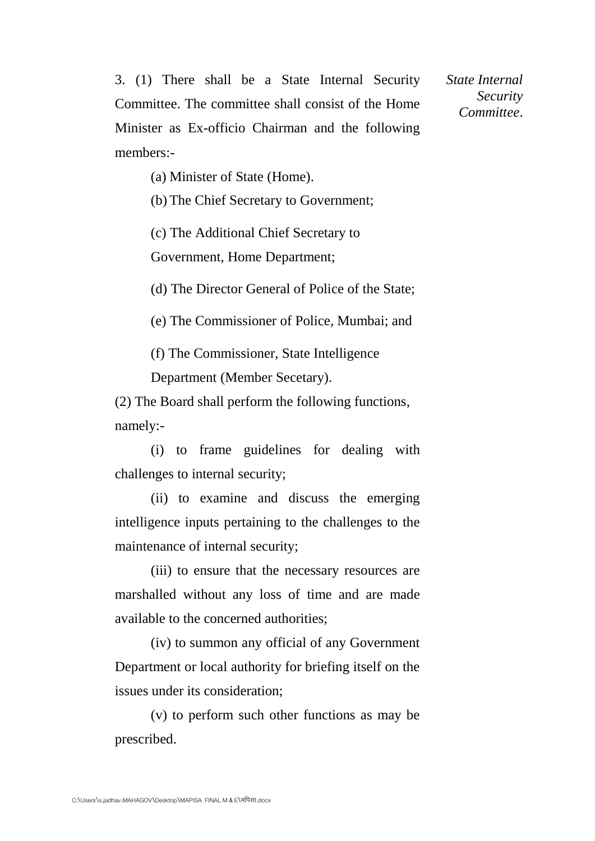3. (1) There shall be a State Internal Security Committee. The committee shall consist of the Home Minister as Ex-officio Chairman and the following members:-

*State Internal Security Committee*.

(a) Minister of State (Home).

(b) The Chief Secretary to Government;

(c) The Additional Chief Secretary to

Government, Home Department;

(d) The Director General of Police of the State;

(e) The Commissioner of Police, Mumbai; and

(f) The Commissioner, State Intelligence

Department (Member Secetary).

(2) The Board shall perform the following functions, namely:-

(i) to frame guidelines for dealing with challenges to internal security;

(ii) to examine and discuss the emerging intelligence inputs pertaining to the challenges to the maintenance of internal security;

(iii) to ensure that the necessary resources are marshalled without any loss of time and are made available to the concerned authorities;

(iv) to summon any official of any Government Department or local authority for briefing itself on the issues under its consideration;

(v) to perform such other functions as may be prescribed.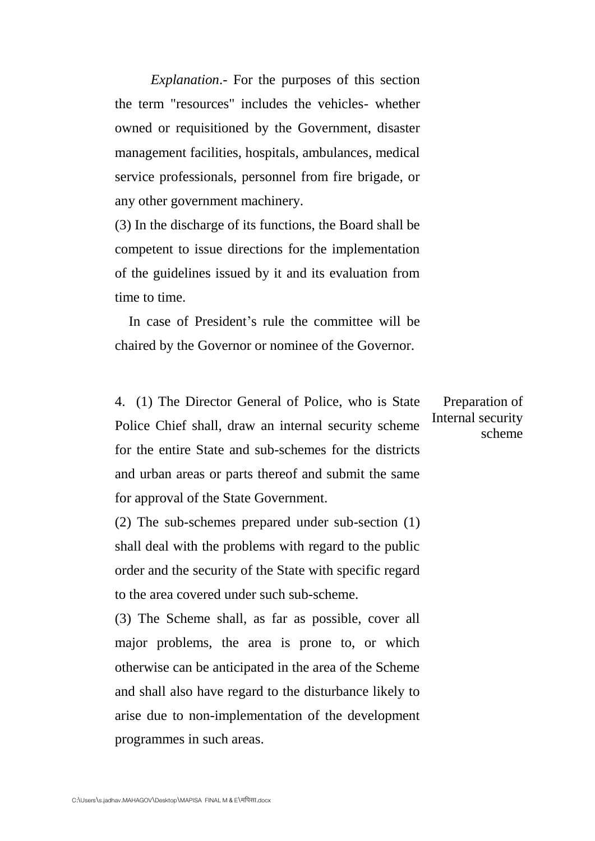*Explanation*.- For the purposes of this section the term "resources" includes the vehicles- whether owned or requisitioned by the Government, disaster management facilities, hospitals, ambulances, medical service professionals, personnel from fire brigade, or any other government machinery.

(3) In the discharge of its functions, the Board shall be competent to issue directions for the implementation of the guidelines issued by it and its evaluation from time to time.

 In case of President's rule the committee will be chaired by the Governor or nominee of the Governor.

4. (1) The Director General of Police, who is State Police Chief shall, draw an internal security scheme for the entire State and sub-schemes for the districts and urban areas or parts thereof and submit the same for approval of the State Government.

(2) The sub-schemes prepared under sub-section (1) shall deal with the problems with regard to the public order and the security of the State with specific regard to the area covered under such sub-scheme.

(3) The Scheme shall, as far as possible, cover all major problems, the area is prone to, or which otherwise can be anticipated in the area of the Scheme and shall also have regard to the disturbance likely to arise due to non-implementation of the development programmes in such areas.

Preparation of Internal security scheme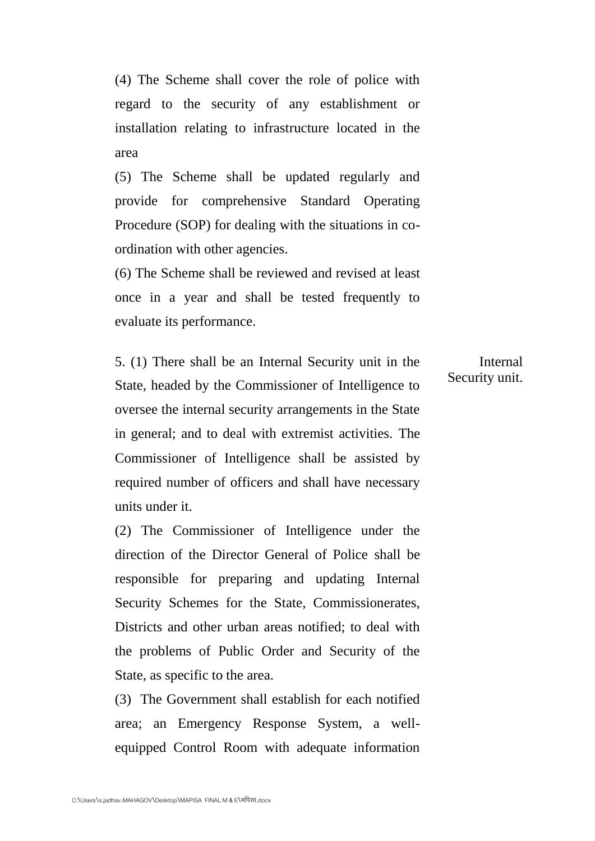(4) The Scheme shall cover the role of police with regard to the security of any establishment or installation relating to infrastructure located in the area

(5) The Scheme shall be updated regularly and provide for comprehensive Standard Operating Procedure (SOP) for dealing with the situations in coordination with other agencies.

(6) The Scheme shall be reviewed and revised at least once in a year and shall be tested frequently to evaluate its performance.

5. (1) There shall be an Internal Security unit in the State, headed by the Commissioner of Intelligence to oversee the internal security arrangements in the State in general; and to deal with extremist activities. The Commissioner of Intelligence shall be assisted by required number of officers and shall have necessary units under it.

(2) The Commissioner of Intelligence under the direction of the Director General of Police shall be responsible for preparing and updating Internal Security Schemes for the State, Commissionerates, Districts and other urban areas notified; to deal with the problems of Public Order and Security of the State, as specific to the area.

(3) The Government shall establish for each notified area; an Emergency Response System, a wellequipped Control Room with adequate information

Internal Security unit.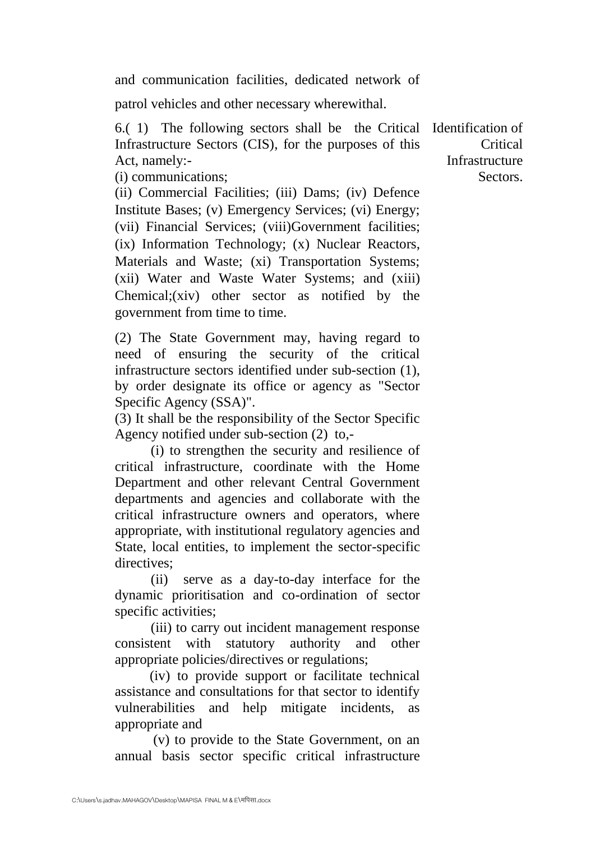and communication facilities, dedicated network of

patrol vehicles and other necessary wherewithal.

6.( 1) The following sectors shall be the Critical Identification of Infrastructure Sectors (CIS), for the purposes of this Act, namely:-

(i) communications;

(ii) Commercial Facilities; (iii) Dams; (iv) Defence Institute Bases; (v) Emergency Services; (vi) Energy; (vii) Financial Services; (viii)Government facilities; (ix) Information Technology; (x) Nuclear Reactors, Materials and Waste; (xi) Transportation Systems; (xii) Water and Waste Water Systems; and (xiii) Chemical;(xiv) other sector as notified by the government from time to time.

(2) The State Government may, having regard to need of ensuring the security of the critical infrastructure sectors identified under sub-section (1), by order designate its office or agency as "Sector Specific Agency (SSA)".

(3) It shall be the responsibility of the Sector Specific Agency notified under sub-section (2) to,-

(i) to strengthen the security and resilience of critical infrastructure, coordinate with the Home Department and other relevant Central Government departments and agencies and collaborate with the critical infrastructure owners and operators, where appropriate, with institutional regulatory agencies and State, local entities, to implement the sector-specific directives;

(ii) serve as a day-to-day interface for the dynamic prioritisation and co-ordination of sector specific activities;

(iii) to carry out incident management response consistent with statutory authority and other appropriate policies/directives or regulations;

 (iv) to provide support or facilitate technical assistance and consultations for that sector to identify vulnerabilities and help mitigate incidents, as appropriate and

 (v) to provide to the State Government, on an annual basis sector specific critical infrastructure

**Critical Infrastructure** Sectors.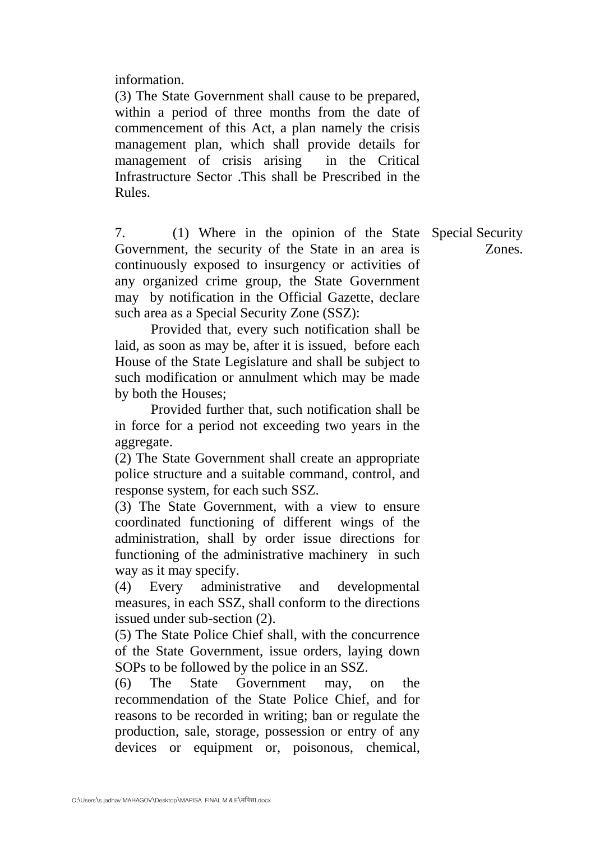information.

(3) The State Government shall cause to be prepared, within a period of three months from the date of commencement of this Act, a plan namely the crisis management plan, which shall provide details for management of crisis arising in the Critical Infrastructure Sector .This shall be Prescribed in the Rules.

7. (1) Where in the opinion of the State Special Security Government, the security of the State in an area is continuously exposed to insurgency or activities of any organized crime group, the State Government may by notification in the Official Gazette, declare such area as a Special Security Zone (SSZ):

Provided that, every such notification shall be laid, as soon as may be, after it is issued, before each House of the State Legislature and shall be subject to such modification or annulment which may be made by both the Houses;

Provided further that, such notification shall be in force for a period not exceeding two years in the aggregate.

(2) The State Government shall create an appropriate police structure and a suitable command, control, and response system, for each such SSZ.

(3) The State Government, with a view to ensure coordinated functioning of different wings of the administration, shall by order issue directions for functioning of the administrative machinery in such way as it may specify.

(4) Every administrative and developmental measures, in each SSZ, shall conform to the directions issued under sub-section (2).

(5) The State Police Chief shall, with the concurrence of the State Government, issue orders, laying down SOPs to be followed by the police in an SSZ.

(6) The State Government may, on the recommendation of the State Police Chief, and for reasons to be recorded in writing; ban or regulate the production, sale, storage, possession or entry of any devices or equipment or, poisonous, chemical,

Zones.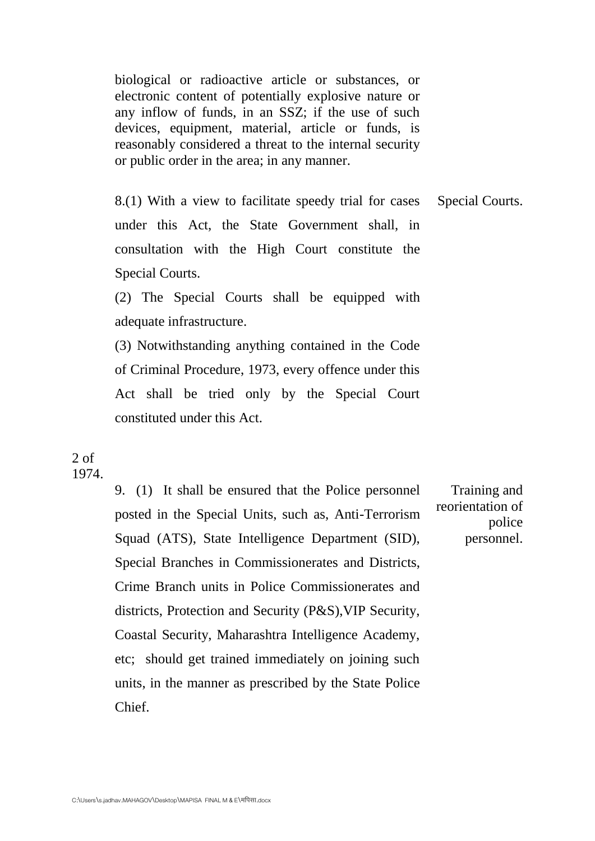biological or radioactive article or substances, or electronic content of potentially explosive nature or any inflow of funds, in an SSZ; if the use of such devices, equipment, material, article or funds, is reasonably considered a threat to the internal security or public order in the area; in any manner.

8.(1) With a view to facilitate speedy trial for cases under this Act, the State Government shall, in consultation with the High Court constitute the Special Courts. Special Courts.

(2) The Special Courts shall be equipped with adequate infrastructure.

(3) Notwithstanding anything contained in the Code of Criminal Procedure, 1973, every offence under this Act shall be tried only by the Special Court constituted under this Act.

## 2 of 1974.

9. (1) It shall be ensured that the Police personnel posted in the Special Units, such as, Anti-Terrorism Squad (ATS), State Intelligence Department (SID), Special Branches in Commissionerates and Districts, Crime Branch units in Police Commissionerates and districts, Protection and Security (P&S),VIP Security, Coastal Security, Maharashtra Intelligence Academy, etc; should get trained immediately on joining such units, in the manner as prescribed by the State Police Chief.

Training and reorientation of police personnel.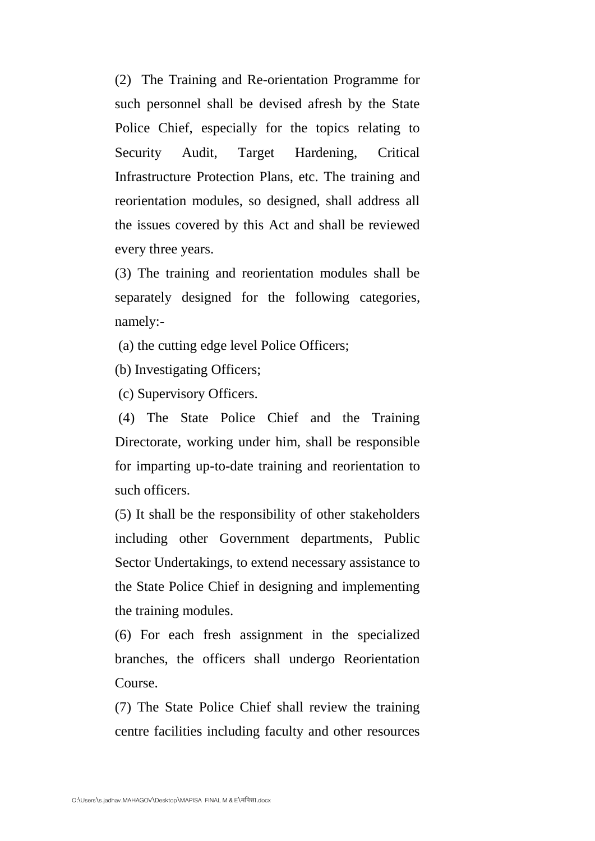(2) The Training and Re-orientation Programme for such personnel shall be devised afresh by the State Police Chief, especially for the topics relating to Security Audit, Target Hardening, Critical Infrastructure Protection Plans, etc. The training and reorientation modules, so designed, shall address all the issues covered by this Act and shall be reviewed every three years.

(3) The training and reorientation modules shall be separately designed for the following categories, namely:-

(a) the cutting edge level Police Officers;

(b) Investigating Officers;

(c) Supervisory Officers.

(4) The State Police Chief and the Training Directorate, working under him, shall be responsible for imparting up-to-date training and reorientation to such officers.

(5) It shall be the responsibility of other stakeholders including other Government departments, Public Sector Undertakings, to extend necessary assistance to the State Police Chief in designing and implementing the training modules.

(6) For each fresh assignment in the specialized branches, the officers shall undergo Reorientation Course.

(7) The State Police Chief shall review the training centre facilities including faculty and other resources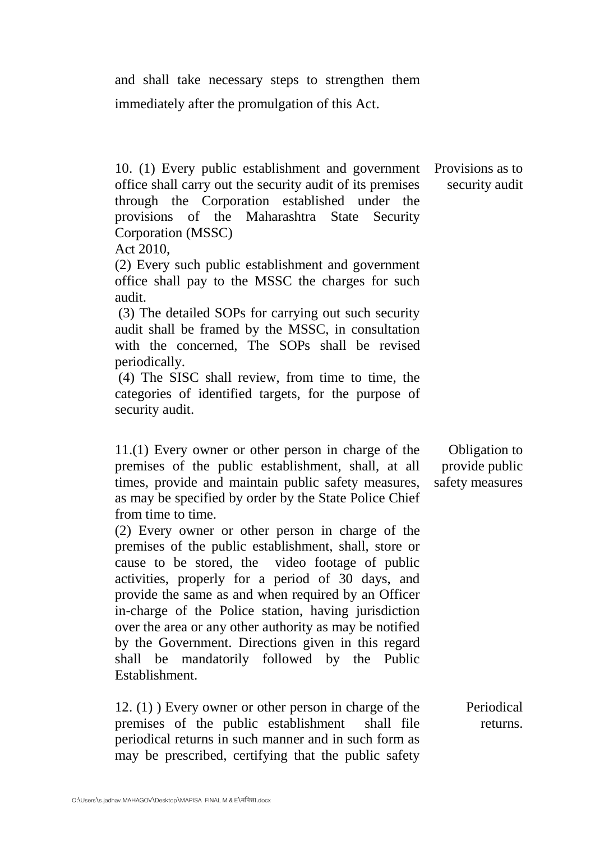and shall take necessary steps to strengthen them immediately after the promulgation of this Act.

10. (1) Every public establishment and government Provisions as to office shall carry out the security audit of its premises through the Corporation established under the provisions of the Maharashtra State Security Corporation (MSSC)

Act 2010,

(2) Every such public establishment and government office shall pay to the MSSC the charges for such audit.

(3) The detailed SOPs for carrying out such security audit shall be framed by the MSSC, in consultation with the concerned, The SOPs shall be revised periodically.

(4) The SISC shall review, from time to time, the categories of identified targets, for the purpose of security audit.

11.(1) Every owner or other person in charge of the premises of the public establishment, shall, at all times, provide and maintain public safety measures, as may be specified by order by the State Police Chief from time to time.

(2) Every owner or other person in charge of the premises of the public establishment, shall, store or cause to be stored, the video footage of public activities, properly for a period of 30 days, and provide the same as and when required by an Officer in-charge of the Police station, having jurisdiction over the area or any other authority as may be notified by the Government. Directions given in this regard shall be mandatorily followed by the Public Establishment.

12. (1) ) Every owner or other person in charge of the premises of the public establishment shall file periodical returns in such manner and in such form as may be prescribed, certifying that the public safety Periodical returns.

C:\Users\s.jadhav.MAHAGOV\Desktop\MAPISA FINAL M & E\मपिसा.docx

Obligation to provide public safety measures

security audit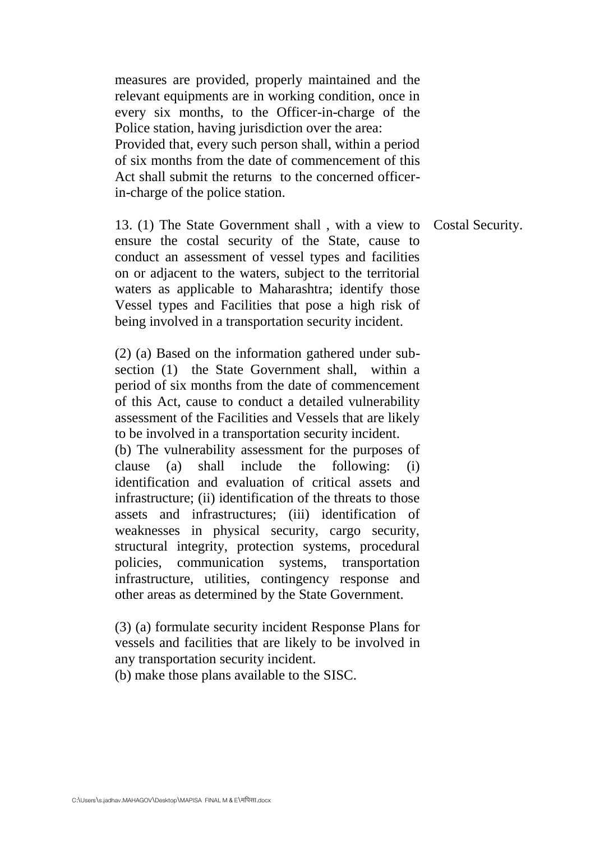measures are provided, properly maintained and the relevant equipments are in working condition, once in every six months, to the Officer-in-charge of the Police station, having jurisdiction over the area: Provided that, every such person shall, within a period of six months from the date of commencement of this Act shall submit the returns to the concerned officerin-charge of the police station.

13. (1) The State Government shall , with a view to ensure the costal security of the State, cause to conduct an assessment of vessel types and facilities on or adjacent to the waters, subject to the territorial waters as applicable to Maharashtra; identify those Vessel types and Facilities that pose a high risk of being involved in a transportation security incident.

(2) (a) Based on the information gathered under subsection (1) the State Government shall, within a period of six months from the date of commencement of this Act, cause to conduct a detailed vulnerability assessment of the Facilities and Vessels that are likely to be involved in a transportation security incident. (b) The vulnerability assessment for the purposes of clause (a) shall include the following: (i) identification and evaluation of critical assets and infrastructure; (ii) identification of the threats to those assets and infrastructures; (iii) identification of weaknesses in physical security, cargo security, structural integrity, protection systems, procedural policies, communication systems, transportation infrastructure, utilities, contingency response and other areas as determined by the State Government.

(3) (a) formulate security incident Response Plans for vessels and facilities that are likely to be involved in any transportation security incident.

(b) make those plans available to the SISC.

Costal Security.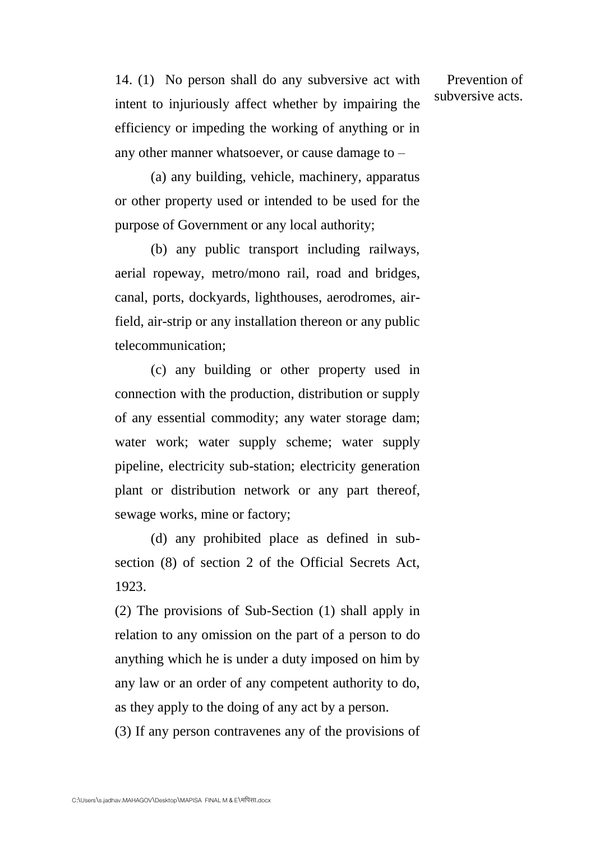14. (1) No person shall do any subversive act with intent to injuriously affect whether by impairing the efficiency or impeding the working of anything or in any other manner whatsoever, or cause damage to –

(a) any building, vehicle, machinery, apparatus or other property used or intended to be used for the purpose of Government or any local authority;

(b) any public transport including railways, aerial ropeway, metro/mono rail, road and bridges, canal, ports, dockyards, lighthouses, aerodromes, airfield, air-strip or any installation thereon or any public telecommunication;

(c) any building or other property used in connection with the production, distribution or supply of any essential commodity; any water storage dam; water work; water supply scheme; water supply pipeline, electricity sub-station; electricity generation plant or distribution network or any part thereof, sewage works, mine or factory;

(d) any prohibited place as defined in subsection (8) of section 2 of the Official Secrets Act, 1923.

(2) The provisions of Sub-Section (1) shall apply in relation to any omission on the part of a person to do anything which he is under a duty imposed on him by any law or an order of any competent authority to do, as they apply to the doing of any act by a person.

(3) If any person contravenes any of the provisions of

Prevention of subversive acts.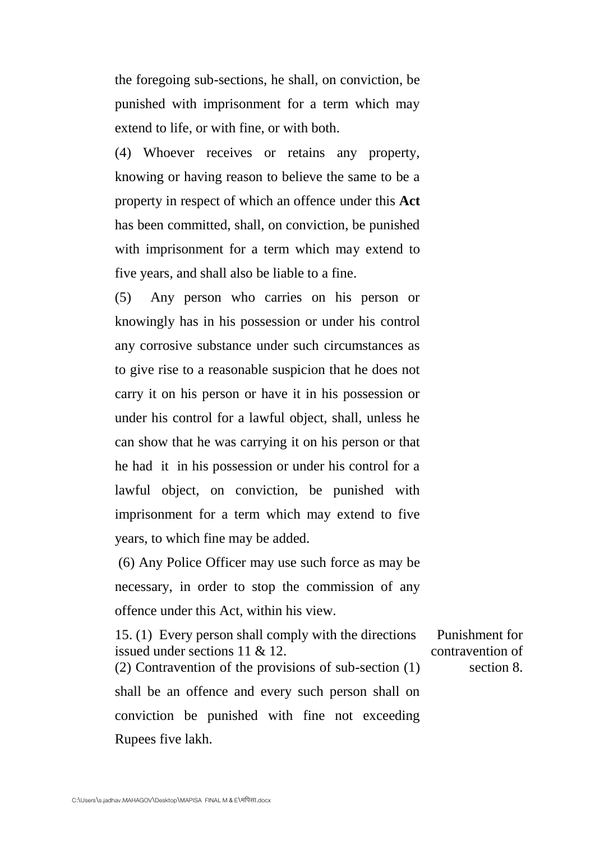the foregoing sub-sections, he shall, on conviction, be punished with imprisonment for a term which may extend to life, or with fine, or with both.

(4) Whoever receives or retains any property, knowing or having reason to believe the same to be a property in respect of which an offence under this **Act**  has been committed, shall, on conviction, be punished with imprisonment for a term which may extend to five years, and shall also be liable to a fine.

(5) Any person who carries on his person or knowingly has in his possession or under his control any corrosive substance under such circumstances as to give rise to a reasonable suspicion that he does not carry it on his person or have it in his possession or under his control for a lawful object, shall, unless he can show that he was carrying it on his person or that he had it in his possession or under his control for a lawful object, on conviction, be punished with imprisonment for a term which may extend to five years, to which fine may be added.

(6) Any Police Officer may use such force as may be necessary, in order to stop the commission of any offence under this Act, within his view.

15. (1) Every person shall comply with the directions issued under sections 11 & 12. (2) Contravention of the provisions of sub-section (1) shall be an offence and every such person shall on conviction be punished with fine not exceeding Rupees five lakh. Punishment for contravention of section 8.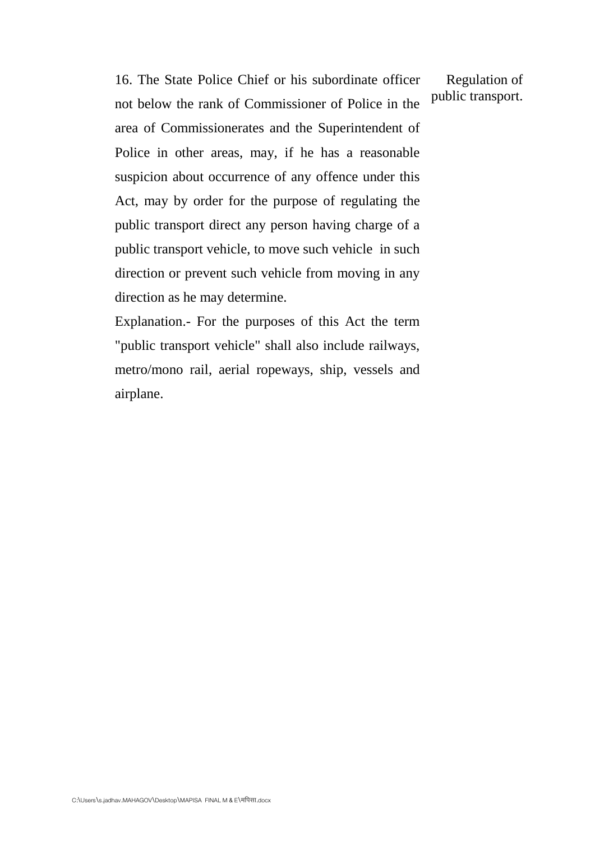16. The State Police Chief or his subordinate officer not below the rank of Commissioner of Police in the area of Commissionerates and the Superintendent of Police in other areas, may, if he has a reasonable suspicion about occurrence of any offence under this Act, may by order for the purpose of regulating the public transport direct any person having charge of a public transport vehicle, to move such vehicle in such direction or prevent such vehicle from moving in any direction as he may determine.

Explanation.- For the purposes of this Act the term "public transport vehicle" shall also include railways, metro/mono rail, aerial ropeways, ship, vessels and airplane.

Regulation of public transport.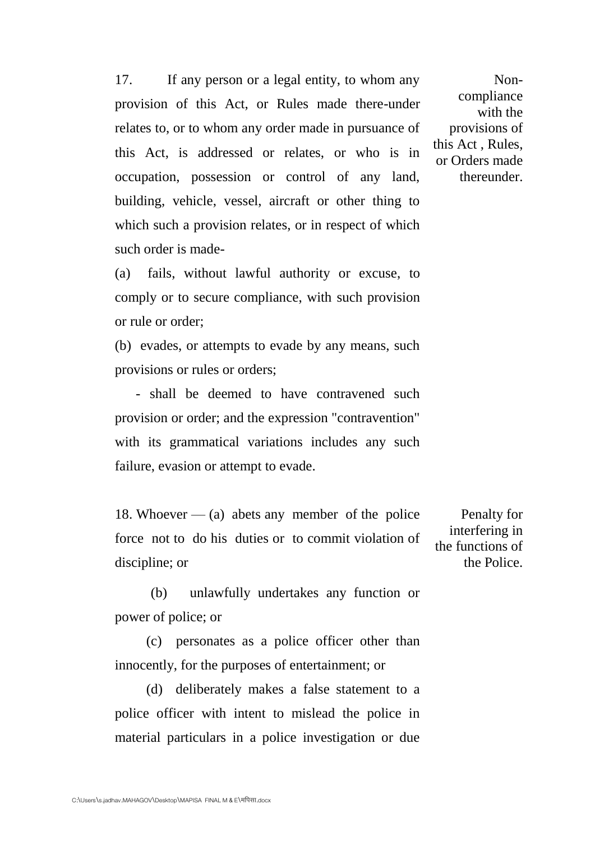17. If any person or a legal entity, to whom any provision of this Act, or Rules made there-under relates to, or to whom any order made in pursuance of this Act, is addressed or relates, or who is in occupation, possession or control of any land, building, vehicle, vessel, aircraft or other thing to which such a provision relates, or in respect of which such order is made-

Noncompliance with the provisions of this Act , Rules, or Orders made thereunder.

(a) fails, without lawful authority or excuse, to comply or to secure compliance, with such provision or rule or order;

(b) evades, or attempts to evade by any means, such provisions or rules or orders;

 - shall be deemed to have contravened such provision or order; and the expression "contravention" with its grammatical variations includes any such failure, evasion or attempt to evade.

18. Whoever  $-$  (a) abets any member of the police force not to do his duties or to commit violation of discipline; or

Penalty for interfering in the functions of the Police.

(b) unlawfully undertakes any function or power of police; or

 (c) personates as a police officer other than innocently, for the purposes of entertainment; or

 (d) deliberately makes a false statement to a police officer with intent to mislead the police in material particulars in a police investigation or due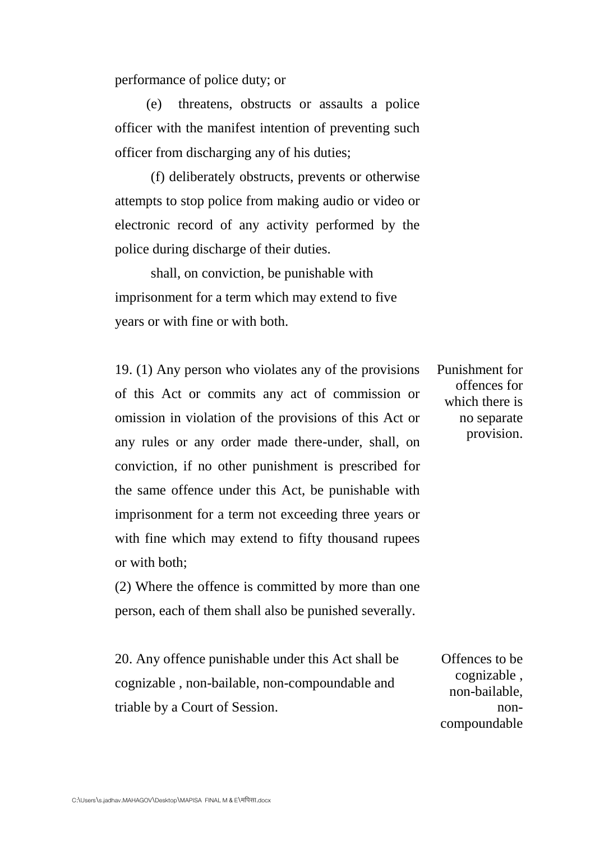performance of police duty; or

 (e) threatens, obstructs or assaults a police officer with the manifest intention of preventing such officer from discharging any of his duties;

(f) deliberately obstructs, prevents or otherwise attempts to stop police from making audio or video or electronic record of any activity performed by the police during discharge of their duties.

shall, on conviction, be punishable with imprisonment for a term which may extend to five years or with fine or with both.

19. (1) Any person who violates any of the provisions of this Act or commits any act of commission or omission in violation of the provisions of this Act or any rules or any order made there-under, shall, on conviction, if no other punishment is prescribed for the same offence under this Act, be punishable with imprisonment for a term not exceeding three years or with fine which may extend to fifty thousand rupees or with both;

(2) Where the offence is committed by more than one person, each of them shall also be punished severally.

20. Any offence punishable under this Act shall be cognizable , non-bailable, non-compoundable and triable by a Court of Session. Offences to be

Punishment for offences for which there is no separate provision.

cognizable , non-bailable, noncompoundable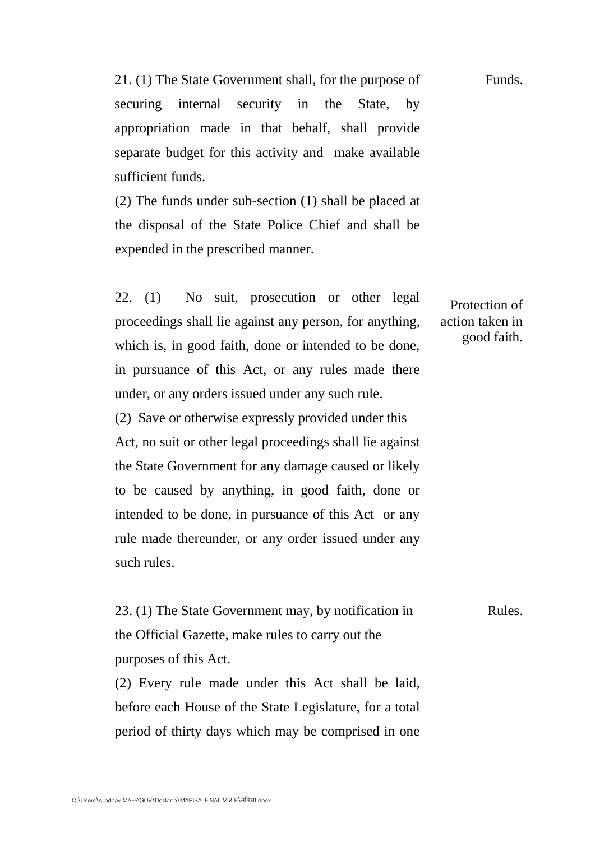21. (1) The State Government shall, for the purpose of securing internal security in the State, by appropriation made in that behalf, shall provide separate budget for this activity and make available sufficient funds. Funds.

(2) The funds under sub-section (1) shall be placed at the disposal of the State Police Chief and shall be expended in the prescribed manner.

22. (1) No suit, prosecution or other legal proceedings shall lie against any person, for anything, which is, in good faith, done or intended to be done, in pursuance of this Act, or any rules made there under, or any orders issued under any such rule.

(2) Save or otherwise expressly provided under this Act, no suit or other legal proceedings shall lie against the State Government for any damage caused or likely to be caused by anything, in good faith, done or intended to be done, in pursuance of this Act or any rule made thereunder, or any order issued under any such rules.

23. (1) The State Government may, by notification in the Official Gazette, make rules to carry out the purposes of this Act. Rules.

(2) Every rule made under this Act shall be laid, before each House of the State Legislature, for a total period of thirty days which may be comprised in one

Protection of action taken in good faith.